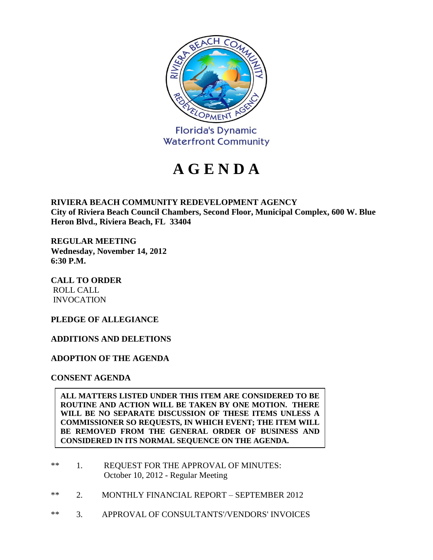

# **A G E N D A**

**RIVIERA BEACH COMMUNITY REDEVELOPMENT AGENCY City of Riviera Beach Council Chambers, Second Floor, Municipal Complex, 600 W. Blue Heron Blvd., Riviera Beach, FL 33404**

**REGULAR MEETING Wednesday, November 14, 2012 6:30 P.M.**

**CALL TO ORDER** ROLL CALL INVOCATION

## **PLEDGE OF ALLEGIANCE**

### **ADDITIONS AND DELETIONS**

**ADOPTION OF THE AGENDA**

**CONSENT AGENDA**

**ALL MATTERS LISTED UNDER THIS ITEM ARE CONSIDERED TO BE ROUTINE AND ACTION WILL BE TAKEN BY ONE MOTION. THERE WILL BE NO SEPARATE DISCUSSION OF THESE ITEMS UNLESS A COMMISSIONER SO REQUESTS, IN WHICH EVENT; THE ITEM WILL BE REMOVED FROM THE GENERAL ORDER OF BUSINESS AND CONSIDERED IN ITS NORMAL SEQUENCE ON THE AGENDA.**

- \*\* 1. REQUEST FOR THE APPROVAL OF MINUTES: October 10, 2012 - Regular Meeting
- \*\* 2. MONTHLY FINANCIAL REPORT SEPTEMBER 2012
- \*\* 3. APPROVAL OF CONSULTANTS'/VENDORS' INVOICES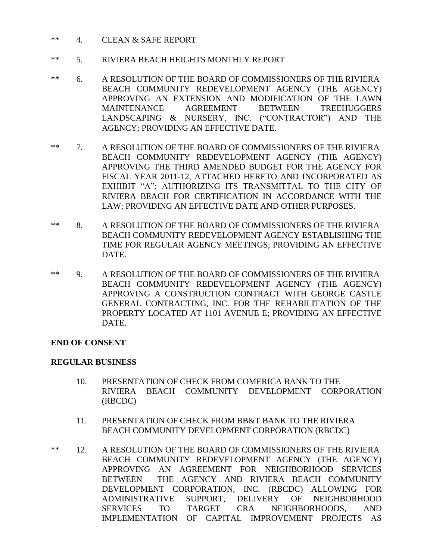- \*\* 4. CLEAN & SAFE REPORT
- \*\* 5. RIVIERA BEACH HEIGHTS MONTHLY REPORT
- \*\* 6. A RESOLUTION OF THE BOARD OF COMMISSIONERS OF THE RIVIERA BEACH COMMUNITY REDEVELOPMENT AGENCY (THE AGENCY) APPROVING AN EXTENSION AND MODIFICATION OF THE LAWN MAINTENANCE AGREEMENT BETWEEN TREEHUGGERS LANDSCAPING & NURSERY, INC. ("CONTRACTOR") AND THE AGENCY; PROVIDING AN EFFECTIVE DATE.
- \*\* 7. A RESOLUTION OF THE BOARD OF COMMISSIONERS OF THE RIVIERA BEACH COMMUNITY REDEVELOPMENT AGENCY (THE AGENCY) APPROVING THE THIRD AMENDED BUDGET FOR THE AGENCY FOR FISCAL YEAR 2011-12, ATTACHED HERETO AND INCORPORATED AS EXHIBIT "A"; AUTHORIZING ITS TRANSMITTAL TO THE CITY OF RIVIERA BEACH FOR CERTIFICATION IN ACCORDANCE WITH THE LAW; PROVIDING AN EFFECTIVE DATE AND OTHER PURPOSES.
- \*\* 8. A RESOLUTION OF THE BOARD OF COMMISSIONERS OF THE RIVIERA BEACH COMMUNITY REDEVELOPMENT AGENCY ESTABLISHING THE TIME FOR REGULAR AGENCY MEETINGS; PROVIDING AN EFFECTIVE DATE.
- \*\* 9. A RESOLUTION OF THE BOARD OF COMMISSIONERS OF THE RIVIERA BEACH COMMUNITY REDEVELOPMENT AGENCY (THE AGENCY) APPROVING A CONSTRUCTION CONTRACT WITH GEORGE CASTLE GENERAL CONTRACTING, INC. FOR THE REHABILITATION OF THE PROPERTY LOCATED AT 1101 AVENUE E; PROVIDING AN EFFECTIVE DATE.

### **END OF CONSENT**

### **REGULAR BUSINESS**

- 10. PRESENTATION OF CHECK FROM COMERICA BANK TO THE RIVIERA BEACH COMMUNITY DEVELOPMENT CORPORATION (RBCDC)
- 11. PRESENTATION OF CHECK FROM BB&T BANK TO THE RIVIERA BEACH COMMUNITY DEVELOPMENT CORPORATION (RBCDC)
- \*\* 12. A RESOLUTION OF THE BOARD OF COMMISSIONERS OF THE RIVIERA BEACH COMMUNITY REDEVELOPMENT AGENCY (THE AGENCY) APPROVING AN AGREEMENT FOR NEIGHBORHOOD SERVICES BETWEEN THE AGENCY AND RIVIERA BEACH COMMUNITY DEVELOPMENT CORPORATION, INC. (RBCDC) ALLOWING FOR ADMINISTRATIVE SUPPORT, DELIVERY OF NEIGHBORHOOD SERVICES TO TARGET CRA NEIGHBORHOODS, AND IMPLEMENTATION OF CAPITAL IMPROVEMENT PROJECTS AS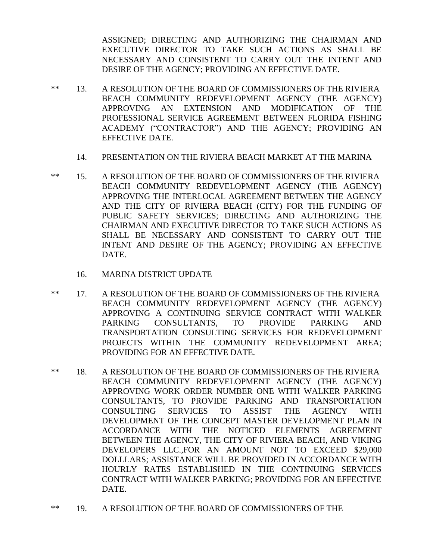ASSIGNED; DIRECTING AND AUTHORIZING THE CHAIRMAN AND EXECUTIVE DIRECTOR TO TAKE SUCH ACTIONS AS SHALL BE NECESSARY AND CONSISTENT TO CARRY OUT THE INTENT AND DESIRE OF THE AGENCY; PROVIDING AN EFFECTIVE DATE.

- \*\* 13. A RESOLUTION OF THE BOARD OF COMMISSIONERS OF THE RIVIERA BEACH COMMUNITY REDEVELOPMENT AGENCY (THE AGENCY) APPROVING AN EXTENSION AND MODIFICATION OF THE PROFESSIONAL SERVICE AGREEMENT BETWEEN FLORIDA FISHING ACADEMY ("CONTRACTOR") AND THE AGENCY; PROVIDING AN EFFECTIVE DATE.
	- 14. PRESENTATION ON THE RIVIERA BEACH MARKET AT THE MARINA
- \*\* 15. A RESOLUTION OF THE BOARD OF COMMISSIONERS OF THE RIVIERA BEACH COMMUNITY REDEVELOPMENT AGENCY (THE AGENCY) APPROVING THE INTERLOCAL AGREEMENT BETWEEN THE AGENCY AND THE CITY OF RIVIERA BEACH (CITY) FOR THE FUNDING OF PUBLIC SAFETY SERVICES; DIRECTING AND AUTHORIZING THE CHAIRMAN AND EXECUTIVE DIRECTOR TO TAKE SUCH ACTIONS AS SHALL BE NECESSARY AND CONSISTENT TO CARRY OUT THE INTENT AND DESIRE OF THE AGENCY; PROVIDING AN EFFECTIVE DATE.
	- 16. MARINA DISTRICT UPDATE
- \*\* 17. A RESOLUTION OF THE BOARD OF COMMISSIONERS OF THE RIVIERA BEACH COMMUNITY REDEVELOPMENT AGENCY (THE AGENCY) APPROVING A CONTINUING SERVICE CONTRACT WITH WALKER PARKING CONSULTANTS, TO PROVIDE PARKING AND TRANSPORTATION CONSULTING SERVICES FOR REDEVELOPMENT PROJECTS WITHIN THE COMMUNITY REDEVELOPMENT AREA; PROVIDING FOR AN EFFECTIVE DATE.
- \*\* 18. A RESOLUTION OF THE BOARD OF COMMISSIONERS OF THE RIVIERA BEACH COMMUNITY REDEVELOPMENT AGENCY (THE AGENCY) APPROVING WORK ORDER NUMBER ONE WITH WALKER PARKING CONSULTANTS, TO PROVIDE PARKING AND TRANSPORTATION CONSULTING SERVICES TO ASSIST THE AGENCY WITH DEVELOPMENT OF THE CONCEPT MASTER DEVELOPMENT PLAN IN ACCORDANCE WITH THE NOTICED ELEMENTS AGREEMENT BETWEEN THE AGENCY, THE CITY OF RIVIERA BEACH, AND VIKING DEVELOPERS LLC.,FOR AN AMOUNT NOT TO EXCEED \$29,000 DOLLLARS; ASSISTANCE WILL BE PROVIDED IN ACCORDANCE WITH HOURLY RATES ESTABLISHED IN THE CONTINUING SERVICES CONTRACT WITH WALKER PARKING; PROVIDING FOR AN EFFECTIVE DATE.
- \*\* 19. A RESOLUTION OF THE BOARD OF COMMISSIONERS OF THE